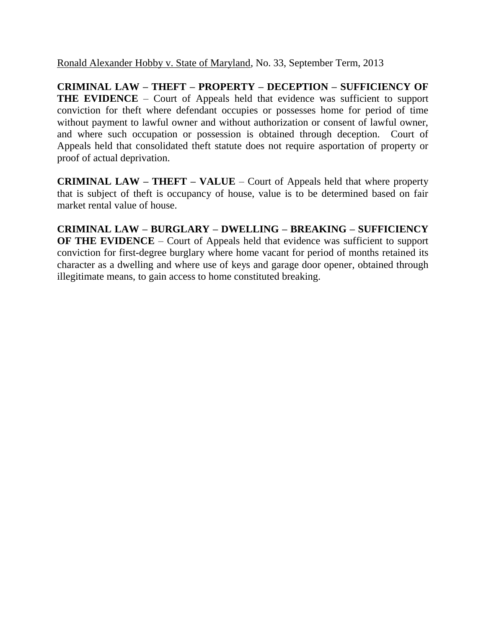Ronald Alexander Hobby v. State of Maryland, No. 33, September Term, 2013

**CRIMINAL LAW – THEFT – PROPERTY – DECEPTION – SUFFICIENCY OF THE EVIDENCE** – Court of Appeals held that evidence was sufficient to support conviction for theft where defendant occupies or possesses home for period of time without payment to lawful owner and without authorization or consent of lawful owner, and where such occupation or possession is obtained through deception. Court of Appeals held that consolidated theft statute does not require asportation of property or proof of actual deprivation.

**CRIMINAL LAW – THEFT – VALUE** – Court of Appeals held that where property that is subject of theft is occupancy of house, value is to be determined based on fair market rental value of house.

**CRIMINAL LAW – BURGLARY – DWELLING – BREAKING – SUFFICIENCY OF THE EVIDENCE** – Court of Appeals held that evidence was sufficient to support conviction for first-degree burglary where home vacant for period of months retained its character as a dwelling and where use of keys and garage door opener, obtained through illegitimate means, to gain access to home constituted breaking.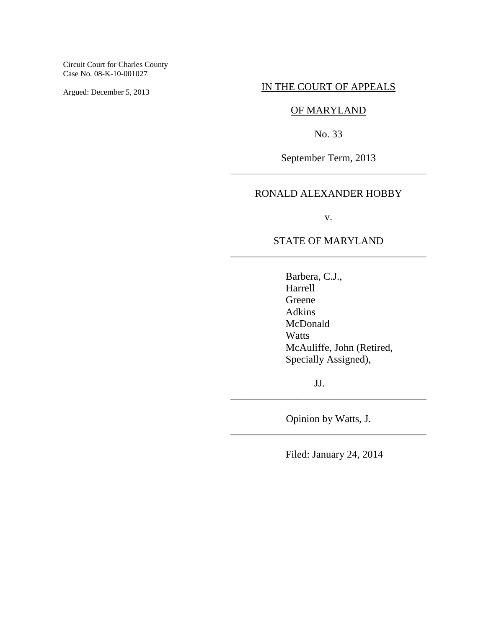Circuit Court for Charles County Case No. 08-K-10-001027

Argued: December 5, 2013

## IN THE COURT OF APPEALS

# OF MARYLAND

No. 33

September Term, 2013 \_\_\_\_\_\_\_\_\_\_\_\_\_\_\_\_\_\_\_\_\_\_\_\_\_\_\_\_\_\_\_\_\_\_\_\_\_\_

## RONALD ALEXANDER HOBBY

v.

## STATE OF MARYLAND \_\_\_\_\_\_\_\_\_\_\_\_\_\_\_\_\_\_\_\_\_\_\_\_\_\_\_\_\_\_\_\_\_\_\_\_\_\_

Barbera, C.J., Harrell Greene Adkins McDonald Watts McAuliffe, John (Retired, Specially Assigned),

JJ.

Opinion by Watts, J. \_\_\_\_\_\_\_\_\_\_\_\_\_\_\_\_\_\_\_\_\_\_\_\_\_\_\_\_\_\_\_\_\_\_\_\_\_\_

\_\_\_\_\_\_\_\_\_\_\_\_\_\_\_\_\_\_\_\_\_\_\_\_\_\_\_\_\_\_\_\_\_\_\_\_\_\_

Filed: January 24, 2014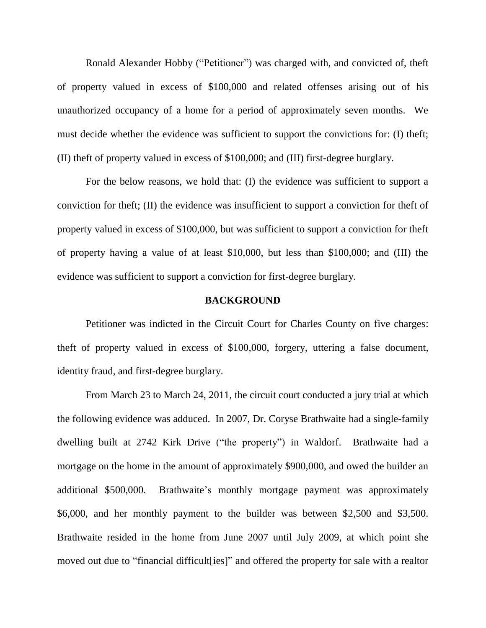Ronald Alexander Hobby ("Petitioner") was charged with, and convicted of, theft of property valued in excess of \$100,000 and related offenses arising out of his unauthorized occupancy of a home for a period of approximately seven months. We must decide whether the evidence was sufficient to support the convictions for: (I) theft; (II) theft of property valued in excess of \$100,000; and (III) first-degree burglary.

For the below reasons, we hold that: (I) the evidence was sufficient to support a conviction for theft; (II) the evidence was insufficient to support a conviction for theft of property valued in excess of \$100,000, but was sufficient to support a conviction for theft of property having a value of at least \$10,000, but less than \$100,000; and (III) the evidence was sufficient to support a conviction for first-degree burglary.

### **BACKGROUND**

Petitioner was indicted in the Circuit Court for Charles County on five charges: theft of property valued in excess of \$100,000, forgery, uttering a false document, identity fraud, and first-degree burglary.

From March 23 to March 24, 2011, the circuit court conducted a jury trial at which the following evidence was adduced. In 2007, Dr. Coryse Brathwaite had a single-family dwelling built at 2742 Kirk Drive ("the property") in Waldorf. Brathwaite had a mortgage on the home in the amount of approximately \$900,000, and owed the builder an additional \$500,000. Brathwaite's monthly mortgage payment was approximately \$6,000, and her monthly payment to the builder was between \$2,500 and \$3,500. Brathwaite resided in the home from June 2007 until July 2009, at which point she moved out due to "financial difficult[ies]" and offered the property for sale with a realtor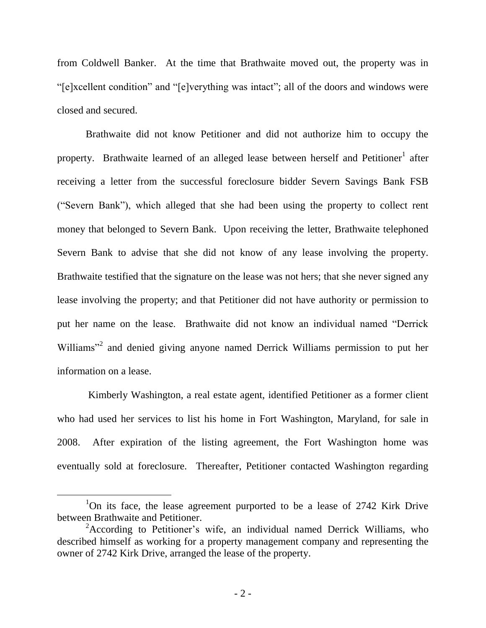from Coldwell Banker. At the time that Brathwaite moved out, the property was in "[e]xcellent condition" and "[e]verything was intact"; all of the doors and windows were closed and secured.

Brathwaite did not know Petitioner and did not authorize him to occupy the property. Brathwaite learned of an alleged lease between herself and Petitioner<sup>1</sup> after receiving a letter from the successful foreclosure bidder Severn Savings Bank FSB ("Severn Bank"), which alleged that she had been using the property to collect rent money that belonged to Severn Bank. Upon receiving the letter, Brathwaite telephoned Severn Bank to advise that she did not know of any lease involving the property. Brathwaite testified that the signature on the lease was not hers; that she never signed any lease involving the property; and that Petitioner did not have authority or permission to put her name on the lease. Brathwaite did not know an individual named "Derrick Williams"<sup>2</sup> and denied giving anyone named Derrick Williams permission to put her information on a lease.

Kimberly Washington, a real estate agent, identified Petitioner as a former client who had used her services to list his home in Fort Washington, Maryland, for sale in 2008. After expiration of the listing agreement, the Fort Washington home was eventually sold at foreclosure. Thereafter, Petitioner contacted Washington regarding

<sup>&</sup>lt;sup>1</sup>On its face, the lease agreement purported to be a lease of 2742 Kirk Drive between Brathwaite and Petitioner.

<sup>&</sup>lt;sup>2</sup>According to Petitioner's wife, an individual named Derrick Williams, who described himself as working for a property management company and representing the owner of 2742 Kirk Drive, arranged the lease of the property.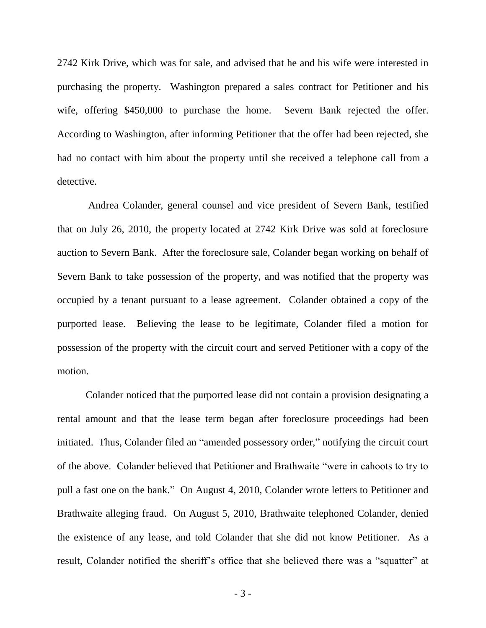2742 Kirk Drive, which was for sale, and advised that he and his wife were interested in purchasing the property. Washington prepared a sales contract for Petitioner and his wife, offering \$450,000 to purchase the home. Severn Bank rejected the offer. According to Washington, after informing Petitioner that the offer had been rejected, she had no contact with him about the property until she received a telephone call from a detective.

Andrea Colander, general counsel and vice president of Severn Bank, testified that on July 26, 2010, the property located at 2742 Kirk Drive was sold at foreclosure auction to Severn Bank. After the foreclosure sale, Colander began working on behalf of Severn Bank to take possession of the property, and was notified that the property was occupied by a tenant pursuant to a lease agreement. Colander obtained a copy of the purported lease. Believing the lease to be legitimate, Colander filed a motion for possession of the property with the circuit court and served Petitioner with a copy of the motion.

Colander noticed that the purported lease did not contain a provision designating a rental amount and that the lease term began after foreclosure proceedings had been initiated. Thus, Colander filed an "amended possessory order," notifying the circuit court of the above. Colander believed that Petitioner and Brathwaite "were in cahoots to try to pull a fast one on the bank." On August 4, 2010, Colander wrote letters to Petitioner and Brathwaite alleging fraud. On August 5, 2010, Brathwaite telephoned Colander, denied the existence of any lease, and told Colander that she did not know Petitioner. As a result, Colander notified the sheriff"s office that she believed there was a "squatter" at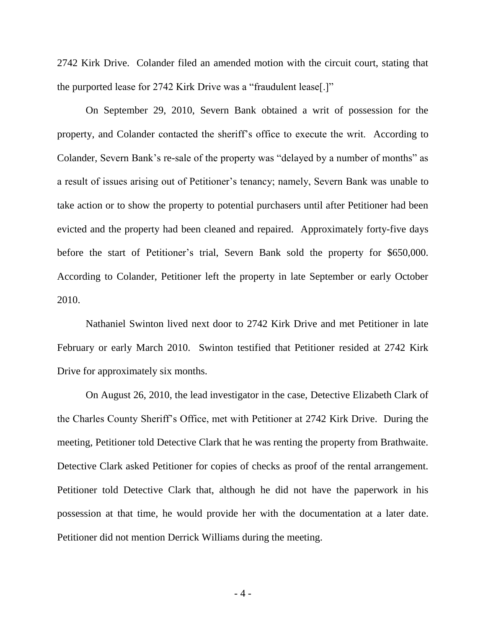2742 Kirk Drive. Colander filed an amended motion with the circuit court, stating that the purported lease for 2742 Kirk Drive was a "fraudulent lease[.]"

On September 29, 2010, Severn Bank obtained a writ of possession for the property, and Colander contacted the sheriff"s office to execute the writ. According to Colander, Severn Bank"s re-sale of the property was "delayed by a number of months" as a result of issues arising out of Petitioner"s tenancy; namely, Severn Bank was unable to take action or to show the property to potential purchasers until after Petitioner had been evicted and the property had been cleaned and repaired. Approximately forty-five days before the start of Petitioner"s trial, Severn Bank sold the property for \$650,000. According to Colander, Petitioner left the property in late September or early October 2010.

Nathaniel Swinton lived next door to 2742 Kirk Drive and met Petitioner in late February or early March 2010. Swinton testified that Petitioner resided at 2742 Kirk Drive for approximately six months.

On August 26, 2010, the lead investigator in the case, Detective Elizabeth Clark of the Charles County Sheriff"s Office, met with Petitioner at 2742 Kirk Drive. During the meeting, Petitioner told Detective Clark that he was renting the property from Brathwaite. Detective Clark asked Petitioner for copies of checks as proof of the rental arrangement. Petitioner told Detective Clark that, although he did not have the paperwork in his possession at that time, he would provide her with the documentation at a later date. Petitioner did not mention Derrick Williams during the meeting.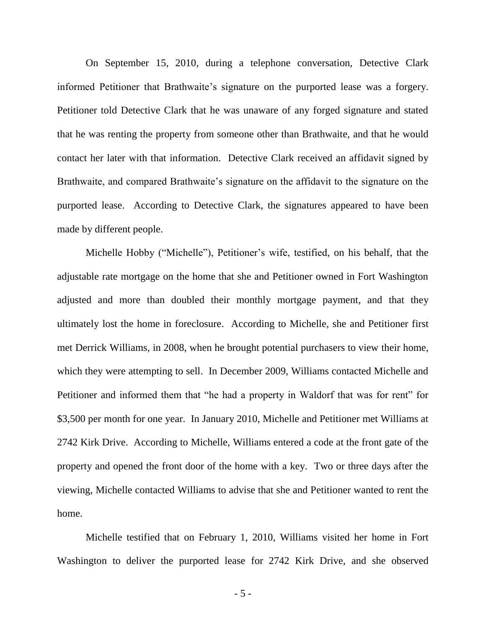On September 15, 2010, during a telephone conversation, Detective Clark informed Petitioner that Brathwaite"s signature on the purported lease was a forgery. Petitioner told Detective Clark that he was unaware of any forged signature and stated that he was renting the property from someone other than Brathwaite, and that he would contact her later with that information. Detective Clark received an affidavit signed by Brathwaite, and compared Brathwaite's signature on the affidavit to the signature on the purported lease. According to Detective Clark, the signatures appeared to have been made by different people.

Michelle Hobby ("Michelle"), Petitioner"s wife, testified, on his behalf, that the adjustable rate mortgage on the home that she and Petitioner owned in Fort Washington adjusted and more than doubled their monthly mortgage payment, and that they ultimately lost the home in foreclosure. According to Michelle, she and Petitioner first met Derrick Williams, in 2008, when he brought potential purchasers to view their home, which they were attempting to sell. In December 2009, Williams contacted Michelle and Petitioner and informed them that "he had a property in Waldorf that was for rent" for \$3,500 per month for one year. In January 2010, Michelle and Petitioner met Williams at 2742 Kirk Drive. According to Michelle, Williams entered a code at the front gate of the property and opened the front door of the home with a key. Two or three days after the viewing, Michelle contacted Williams to advise that she and Petitioner wanted to rent the home.

Michelle testified that on February 1, 2010, Williams visited her home in Fort Washington to deliver the purported lease for 2742 Kirk Drive, and she observed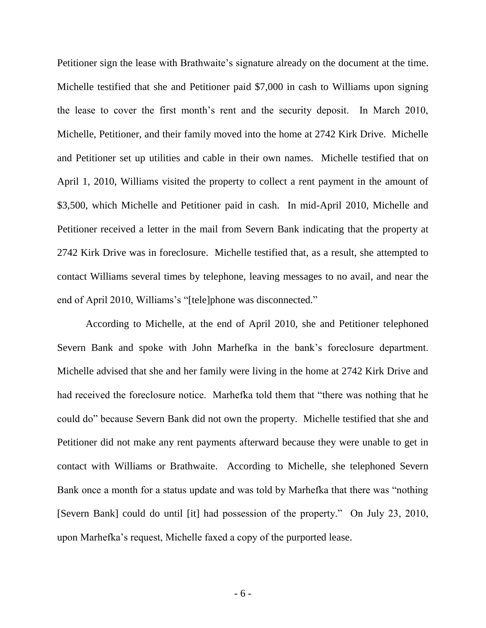Petitioner sign the lease with Brathwaite's signature already on the document at the time. Michelle testified that she and Petitioner paid \$7,000 in cash to Williams upon signing the lease to cover the first month"s rent and the security deposit. In March 2010, Michelle, Petitioner, and their family moved into the home at 2742 Kirk Drive. Michelle and Petitioner set up utilities and cable in their own names. Michelle testified that on April 1, 2010, Williams visited the property to collect a rent payment in the amount of \$3,500, which Michelle and Petitioner paid in cash. In mid-April 2010, Michelle and Petitioner received a letter in the mail from Severn Bank indicating that the property at 2742 Kirk Drive was in foreclosure. Michelle testified that, as a result, she attempted to contact Williams several times by telephone, leaving messages to no avail, and near the end of April 2010, Williams's "[tele]phone was disconnected."

According to Michelle, at the end of April 2010, she and Petitioner telephoned Severn Bank and spoke with John Marhefka in the bank"s foreclosure department. Michelle advised that she and her family were living in the home at 2742 Kirk Drive and had received the foreclosure notice. Marhefka told them that "there was nothing that he could do" because Severn Bank did not own the property. Michelle testified that she and Petitioner did not make any rent payments afterward because they were unable to get in contact with Williams or Brathwaite. According to Michelle, she telephoned Severn Bank once a month for a status update and was told by Marhefka that there was "nothing [Severn Bank] could do until [it] had possession of the property." On July 23, 2010, upon Marhefka"s request, Michelle faxed a copy of the purported lease.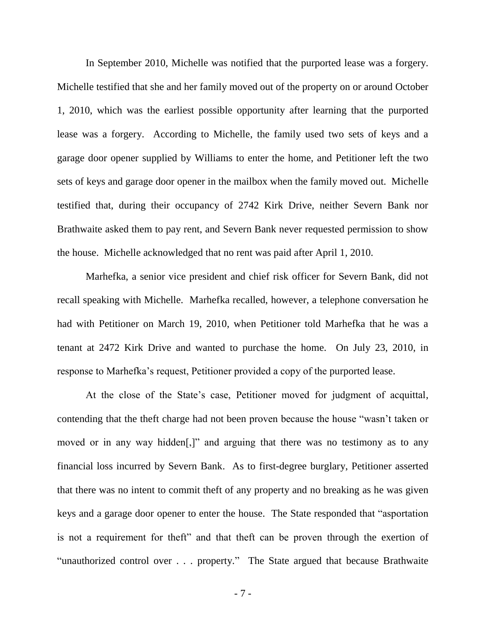In September 2010, Michelle was notified that the purported lease was a forgery. Michelle testified that she and her family moved out of the property on or around October 1, 2010, which was the earliest possible opportunity after learning that the purported lease was a forgery. According to Michelle, the family used two sets of keys and a garage door opener supplied by Williams to enter the home, and Petitioner left the two sets of keys and garage door opener in the mailbox when the family moved out. Michelle testified that, during their occupancy of 2742 Kirk Drive, neither Severn Bank nor Brathwaite asked them to pay rent, and Severn Bank never requested permission to show the house. Michelle acknowledged that no rent was paid after April 1, 2010.

Marhefka, a senior vice president and chief risk officer for Severn Bank, did not recall speaking with Michelle. Marhefka recalled, however, a telephone conversation he had with Petitioner on March 19, 2010, when Petitioner told Marhefka that he was a tenant at 2472 Kirk Drive and wanted to purchase the home. On July 23, 2010, in response to Marhefka"s request, Petitioner provided a copy of the purported lease.

At the close of the State's case, Petitioner moved for judgment of acquittal, contending that the theft charge had not been proven because the house "wasn"t taken or moved or in any way hidden[,]" and arguing that there was no testimony as to any financial loss incurred by Severn Bank. As to first-degree burglary, Petitioner asserted that there was no intent to commit theft of any property and no breaking as he was given keys and a garage door opener to enter the house. The State responded that "asportation is not a requirement for theft" and that theft can be proven through the exertion of "unauthorized control over . . . property." The State argued that because Brathwaite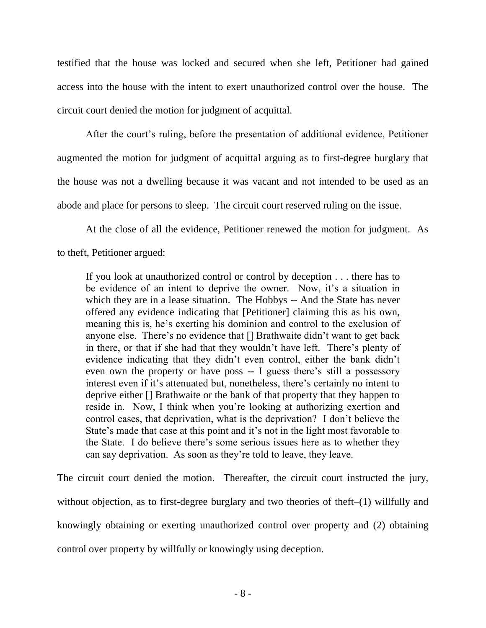testified that the house was locked and secured when she left, Petitioner had gained access into the house with the intent to exert unauthorized control over the house. The circuit court denied the motion for judgment of acquittal.

After the court's ruling, before the presentation of additional evidence, Petitioner augmented the motion for judgment of acquittal arguing as to first-degree burglary that the house was not a dwelling because it was vacant and not intended to be used as an abode and place for persons to sleep. The circuit court reserved ruling on the issue.

At the close of all the evidence, Petitioner renewed the motion for judgment. As

to theft, Petitioner argued:

If you look at unauthorized control or control by deception . . . there has to be evidence of an intent to deprive the owner. Now, it's a situation in which they are in a lease situation. The Hobbys -- And the State has never offered any evidence indicating that [Petitioner] claiming this as his own, meaning this is, he's exerting his dominion and control to the exclusion of anyone else. There's no evidence that [] Brathwaite didn't want to get back in there, or that if she had that they wouldn"t have left. There"s plenty of evidence indicating that they didn"t even control, either the bank didn"t even own the property or have poss -- I guess there's still a possessory interest even if it's attenuated but, nonetheless, there's certainly no intent to deprive either [] Brathwaite or the bank of that property that they happen to reside in. Now, I think when you"re looking at authorizing exertion and control cases, that deprivation, what is the deprivation? I don"t believe the State's made that case at this point and it's not in the light most favorable to the State. I do believe there"s some serious issues here as to whether they can say deprivation. As soon as they"re told to leave, they leave.

The circuit court denied the motion. Thereafter, the circuit court instructed the jury, without objection, as to first-degree burglary and two theories of theft–(1) willfully and knowingly obtaining or exerting unauthorized control over property and (2) obtaining control over property by willfully or knowingly using deception.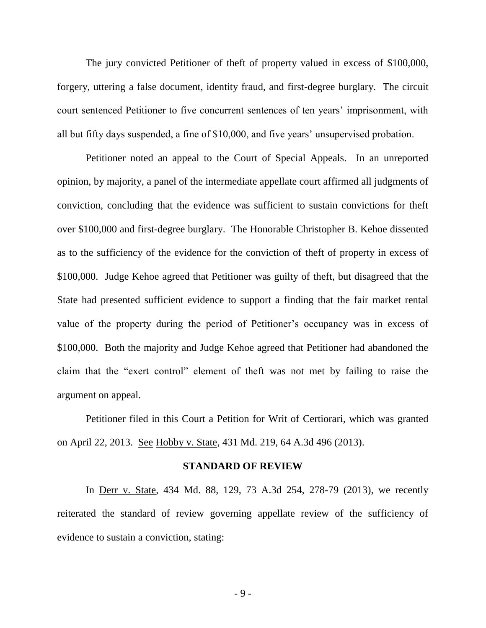The jury convicted Petitioner of theft of property valued in excess of \$100,000, forgery, uttering a false document, identity fraud, and first-degree burglary. The circuit court sentenced Petitioner to five concurrent sentences of ten years' imprisonment, with all but fifty days suspended, a fine of \$10,000, and five years' unsupervised probation.

Petitioner noted an appeal to the Court of Special Appeals. In an unreported opinion, by majority, a panel of the intermediate appellate court affirmed all judgments of conviction, concluding that the evidence was sufficient to sustain convictions for theft over \$100,000 and first-degree burglary. The Honorable Christopher B. Kehoe dissented as to the sufficiency of the evidence for the conviction of theft of property in excess of \$100,000. Judge Kehoe agreed that Petitioner was guilty of theft, but disagreed that the State had presented sufficient evidence to support a finding that the fair market rental value of the property during the period of Petitioner's occupancy was in excess of \$100,000. Both the majority and Judge Kehoe agreed that Petitioner had abandoned the claim that the "exert control" element of theft was not met by failing to raise the argument on appeal.

Petitioner filed in this Court a Petition for Writ of Certiorari, which was granted on April 22, 2013. See Hobby v. State, 431 Md. 219, 64 A.3d 496 (2013).

#### **STANDARD OF REVIEW**

In Derr v. State, 434 Md. 88, 129, 73 A.3d 254, 278-79 (2013), we recently reiterated the standard of review governing appellate review of the sufficiency of evidence to sustain a conviction, stating:

- 9 -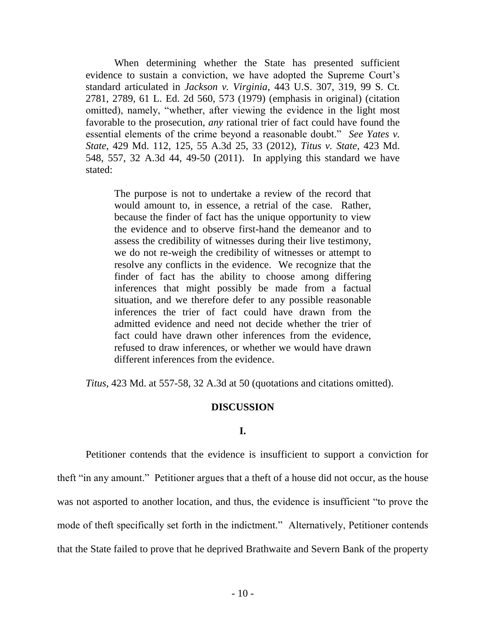When determining whether the State has presented sufficient evidence to sustain a conviction, we have adopted the Supreme Court's standard articulated in *Jackson v. Virginia*, 443 U.S. 307, 319, 99 S. Ct. 2781, 2789, 61 L. Ed. 2d 560, 573 (1979) (emphasis in original) (citation omitted), namely, "whether, after viewing the evidence in the light most favorable to the prosecution, *any* rational trier of fact could have found the essential elements of the crime beyond a reasonable doubt." *See Yates v. State*, 429 Md. 112, 125, 55 A.3d 25, 33 (2012), *Titus v. State*, 423 Md. 548, 557, 32 A.3d 44, 49-50 (2011). In applying this standard we have stated:

The purpose is not to undertake a review of the record that would amount to, in essence, a retrial of the case. Rather, because the finder of fact has the unique opportunity to view the evidence and to observe first-hand the demeanor and to assess the credibility of witnesses during their live testimony, we do not re-weigh the credibility of witnesses or attempt to resolve any conflicts in the evidence. We recognize that the finder of fact has the ability to choose among differing inferences that might possibly be made from a factual situation, and we therefore defer to any possible reasonable inferences the trier of fact could have drawn from the admitted evidence and need not decide whether the trier of fact could have drawn other inferences from the evidence, refused to draw inferences, or whether we would have drawn different inferences from the evidence.

*Titus*, 423 Md. at 557-58, 32 A.3d at 50 (quotations and citations omitted).

### **DISCUSSION**

#### **I.**

Petitioner contends that the evidence is insufficient to support a conviction for theft "in any amount." Petitioner argues that a theft of a house did not occur, as the house was not asported to another location, and thus, the evidence is insufficient "to prove the mode of theft specifically set forth in the indictment." Alternatively, Petitioner contends that the State failed to prove that he deprived Brathwaite and Severn Bank of the property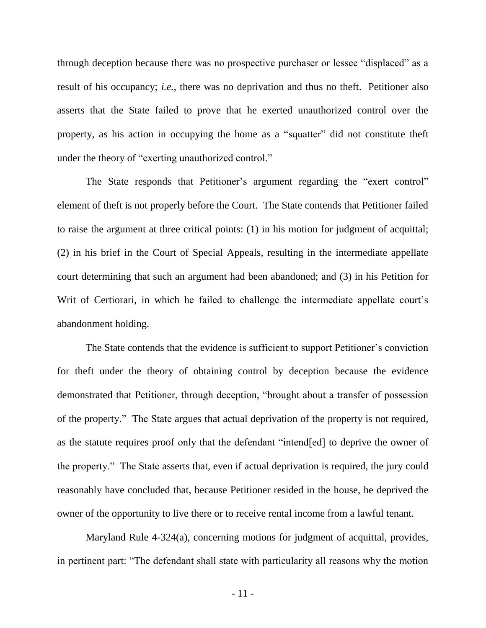through deception because there was no prospective purchaser or lessee "displaced" as a result of his occupancy; *i.e.*, there was no deprivation and thus no theft. Petitioner also asserts that the State failed to prove that he exerted unauthorized control over the property, as his action in occupying the home as a "squatter" did not constitute theft under the theory of "exerting unauthorized control."

The State responds that Petitioner's argument regarding the "exert control" element of theft is not properly before the Court. The State contends that Petitioner failed to raise the argument at three critical points: (1) in his motion for judgment of acquittal; (2) in his brief in the Court of Special Appeals, resulting in the intermediate appellate court determining that such an argument had been abandoned; and (3) in his Petition for Writ of Certiorari, in which he failed to challenge the intermediate appellate court's abandonment holding.

The State contends that the evidence is sufficient to support Petitioner"s conviction for theft under the theory of obtaining control by deception because the evidence demonstrated that Petitioner, through deception, "brought about a transfer of possession of the property." The State argues that actual deprivation of the property is not required, as the statute requires proof only that the defendant "intend[ed] to deprive the owner of the property." The State asserts that, even if actual deprivation is required, the jury could reasonably have concluded that, because Petitioner resided in the house, he deprived the owner of the opportunity to live there or to receive rental income from a lawful tenant.

Maryland Rule 4-324(a), concerning motions for judgment of acquittal, provides, in pertinent part: "The defendant shall state with particularity all reasons why the motion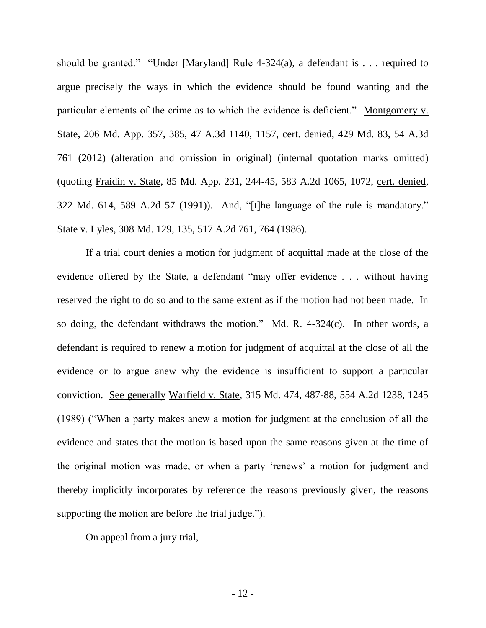should be granted." "Under [Maryland] Rule  $4-324(a)$ , a defendant is . . . required to argue precisely the ways in which the evidence should be found wanting and the particular elements of the crime as to which the evidence is deficient." Montgomery v. State, 206 Md. App. 357, 385, 47 A.3d 1140, 1157, cert. denied, 429 Md. 83, 54 A.3d 761 (2012) (alteration and omission in original) (internal quotation marks omitted) (quoting Fraidin v. State, 85 Md. App. 231, 244-45, 583 A.2d 1065, 1072, cert. denied, 322 Md. 614, 589 A.2d 57 (1991)). And, "[t]he language of the rule is mandatory." State v. Lyles, 308 Md. 129, 135, 517 A.2d 761, 764 (1986).

If a trial court denies a motion for judgment of acquittal made at the close of the evidence offered by the State, a defendant "may offer evidence . . . without having reserved the right to do so and to the same extent as if the motion had not been made. In so doing, the defendant withdraws the motion." Md. R. 4-324(c). In other words, a defendant is required to renew a motion for judgment of acquittal at the close of all the evidence or to argue anew why the evidence is insufficient to support a particular conviction. See generally Warfield v. State, 315 Md. 474, 487-88, 554 A.2d 1238, 1245 (1989) ("When a party makes anew a motion for judgment at the conclusion of all the evidence and states that the motion is based upon the same reasons given at the time of the original motion was made, or when a party 'renews' a motion for judgment and thereby implicitly incorporates by reference the reasons previously given, the reasons supporting the motion are before the trial judge.").

On appeal from a jury trial,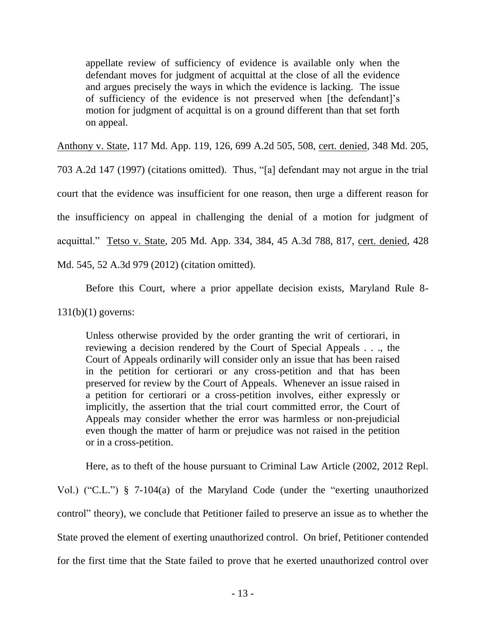appellate review of sufficiency of evidence is available only when the defendant moves for judgment of acquittal at the close of all the evidence and argues precisely the ways in which the evidence is lacking. The issue of sufficiency of the evidence is not preserved when [the defendant]"s motion for judgment of acquittal is on a ground different than that set forth on appeal.

Anthony v. State, 117 Md. App. 119, 126, 699 A.2d 505, 508, cert. denied, 348 Md. 205,

703 A.2d 147 (1997) (citations omitted). Thus, "[a] defendant may not argue in the trial court that the evidence was insufficient for one reason, then urge a different reason for the insufficiency on appeal in challenging the denial of a motion for judgment of acquittal." Tetso v. State, 205 Md. App. 334, 384, 45 A.3d 788, 817, cert. denied, 428 Md. 545, 52 A.3d 979 (2012) (citation omitted).

Before this Court, where a prior appellate decision exists, Maryland Rule 8-

131(b)(1) governs:

Unless otherwise provided by the order granting the writ of certiorari, in reviewing a decision rendered by the Court of Special Appeals . . ., the Court of Appeals ordinarily will consider only an issue that has been raised in the petition for certiorari or any cross-petition and that has been preserved for review by the Court of Appeals. Whenever an issue raised in a petition for certiorari or a cross-petition involves, either expressly or implicitly, the assertion that the trial court committed error, the Court of Appeals may consider whether the error was harmless or non-prejudicial even though the matter of harm or prejudice was not raised in the petition or in a cross-petition.

Here, as to theft of the house pursuant to Criminal Law Article (2002, 2012 Repl.

Vol.) ("C.L.") § 7-104(a) of the Maryland Code (under the "exerting unauthorized control" theory), we conclude that Petitioner failed to preserve an issue as to whether the State proved the element of exerting unauthorized control. On brief, Petitioner contended for the first time that the State failed to prove that he exerted unauthorized control over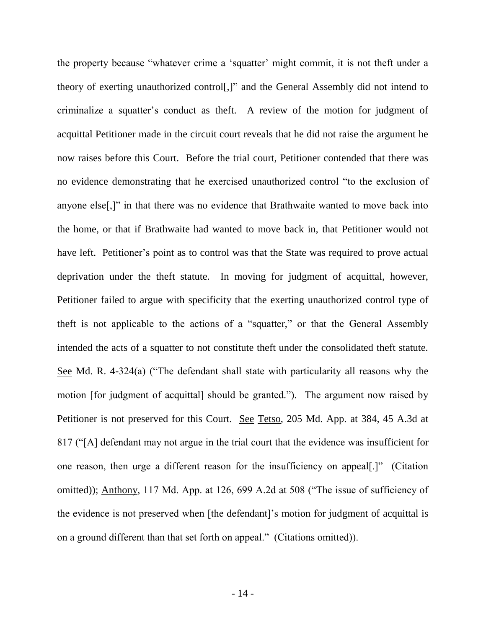the property because "whatever crime a "squatter" might commit, it is not theft under a theory of exerting unauthorized control[,]" and the General Assembly did not intend to criminalize a squatter"s conduct as theft. A review of the motion for judgment of acquittal Petitioner made in the circuit court reveals that he did not raise the argument he now raises before this Court. Before the trial court, Petitioner contended that there was no evidence demonstrating that he exercised unauthorized control "to the exclusion of anyone else[,]" in that there was no evidence that Brathwaite wanted to move back into the home, or that if Brathwaite had wanted to move back in, that Petitioner would not have left. Petitioner's point as to control was that the State was required to prove actual deprivation under the theft statute. In moving for judgment of acquittal, however, Petitioner failed to argue with specificity that the exerting unauthorized control type of theft is not applicable to the actions of a "squatter," or that the General Assembly intended the acts of a squatter to not constitute theft under the consolidated theft statute. See Md. R. 4-324(a) ("The defendant shall state with particularity all reasons why the motion [for judgment of acquittal] should be granted."). The argument now raised by Petitioner is not preserved for this Court. See Tetso, 205 Md. App. at 384, 45 A.3d at 817 ("[A] defendant may not argue in the trial court that the evidence was insufficient for one reason, then urge a different reason for the insufficiency on appeal[.]" (Citation omitted)); Anthony, 117 Md. App. at 126, 699 A.2d at 508 ("The issue of sufficiency of the evidence is not preserved when [the defendant]"s motion for judgment of acquittal is on a ground different than that set forth on appeal." (Citations omitted)).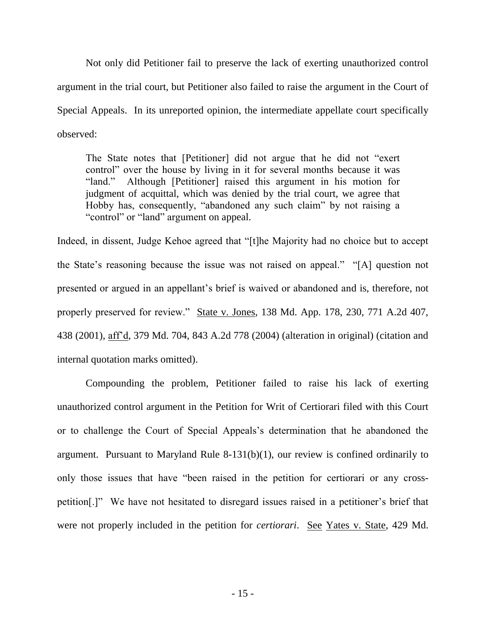Not only did Petitioner fail to preserve the lack of exerting unauthorized control argument in the trial court, but Petitioner also failed to raise the argument in the Court of Special Appeals. In its unreported opinion, the intermediate appellate court specifically observed:

The State notes that [Petitioner] did not argue that he did not "exert control" over the house by living in it for several months because it was "land." Although [Petitioner] raised this argument in his motion for judgment of acquittal, which was denied by the trial court, we agree that Hobby has, consequently, "abandoned any such claim" by not raising a "control" or "land" argument on appeal.

Indeed, in dissent, Judge Kehoe agreed that "[t]he Majority had no choice but to accept the State's reasoning because the issue was not raised on appeal." "[A] question not presented or argued in an appellant"s brief is waived or abandoned and is, therefore, not properly preserved for review." State v. Jones, 138 Md. App. 178, 230, 771 A.2d 407, 438 (2001), aff"d, 379 Md. 704, 843 A.2d 778 (2004) (alteration in original) (citation and internal quotation marks omitted).

Compounding the problem, Petitioner failed to raise his lack of exerting unauthorized control argument in the Petition for Writ of Certiorari filed with this Court or to challenge the Court of Special Appeals"s determination that he abandoned the argument. Pursuant to Maryland Rule 8-131(b)(1), our review is confined ordinarily to only those issues that have "been raised in the petition for certiorari or any crosspetition[.]" We have not hesitated to disregard issues raised in a petitioner"s brief that were not properly included in the petition for *certiorari*. See Yates v. State, 429 Md.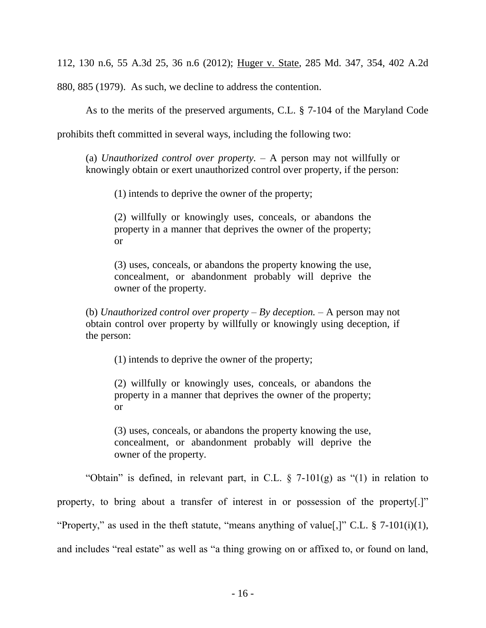112, 130 n.6, 55 A.3d 25, 36 n.6 (2012); Huger v. State, 285 Md. 347, 354, 402 A.2d

880, 885 (1979). As such, we decline to address the contention.

As to the merits of the preserved arguments, C.L. § 7-104 of the Maryland Code

prohibits theft committed in several ways, including the following two:

(a) *Unauthorized control over property.* – A person may not willfully or knowingly obtain or exert unauthorized control over property, if the person:

(1) intends to deprive the owner of the property;

(2) willfully or knowingly uses, conceals, or abandons the property in a manner that deprives the owner of the property; or

(3) uses, conceals, or abandons the property knowing the use, concealment, or abandonment probably will deprive the owner of the property.

(b) *Unauthorized control over property* – *By deception.* – A person may not obtain control over property by willfully or knowingly using deception, if the person:

(1) intends to deprive the owner of the property;

(2) willfully or knowingly uses, conceals, or abandons the property in a manner that deprives the owner of the property; or

(3) uses, conceals, or abandons the property knowing the use, concealment, or abandonment probably will deprive the owner of the property.

"Obtain" is defined, in relevant part, in C.L.  $\S$  7-101(g) as "(1) in relation to property, to bring about a transfer of interest in or possession of the property[.]" "Property," as used in the theft statute, "means anything of value[,]" C.L.  $\S$  7-101(i)(1), and includes "real estate" as well as "a thing growing on or affixed to, or found on land,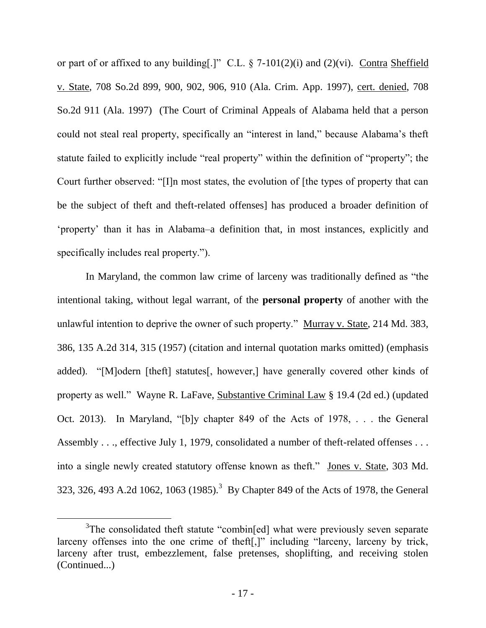or part of or affixed to any building[.]" C.L.  $\S$  7-101(2)(i) and (2)(vi). Contra Sheffield v. State, 708 So.2d 899, 900, 902, 906, 910 (Ala. Crim. App. 1997), cert. denied, 708 So.2d 911 (Ala. 1997) (The Court of Criminal Appeals of Alabama held that a person could not steal real property, specifically an "interest in land," because Alabama"s theft statute failed to explicitly include "real property" within the definition of "property"; the Court further observed: "[I]n most states, the evolution of [the types of property that can be the subject of theft and theft-related offenses] has produced a broader definition of "property" than it has in Alabama–a definition that, in most instances, explicitly and specifically includes real property.").

In Maryland, the common law crime of larceny was traditionally defined as "the intentional taking, without legal warrant, of the **personal property** of another with the unlawful intention to deprive the owner of such property." Murray v. State, 214 Md. 383, 386, 135 A.2d 314, 315 (1957) (citation and internal quotation marks omitted) (emphasis added). "[M]odern [theft] statutes[, however,] have generally covered other kinds of property as well." Wayne R. LaFave, Substantive Criminal Law § 19.4 (2d ed.) (updated Oct. 2013). In Maryland, "[b]y chapter 849 of the Acts of 1978, . . . the General Assembly . . ., effective July 1, 1979, consolidated a number of theft-related offenses . . . into a single newly created statutory offense known as theft." Jones v. State, 303 Md. 323, 326, 493 A.2d 1062, 1063 (1985).<sup>3</sup> By Chapter 849 of the Acts of 1978, the General

<sup>&</sup>lt;sup>3</sup>The consolidated theft statute "combin[ed] what were previously seven separate larceny offenses into the one crime of theft[,]" including "larceny, larceny by trick, larceny after trust, embezzlement, false pretenses, shoplifting, and receiving stolen (Continued...)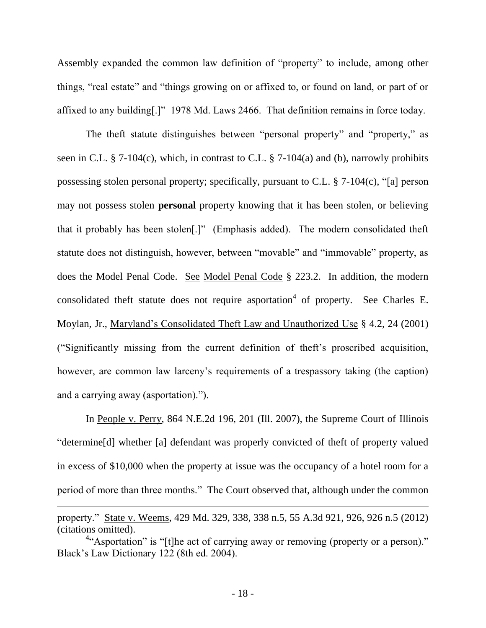Assembly expanded the common law definition of "property" to include, among other things, "real estate" and "things growing on or affixed to, or found on land, or part of or affixed to any building[.]" 1978 Md. Laws 2466. That definition remains in force today.

The theft statute distinguishes between "personal property" and "property," as seen in C.L. § 7-104(c), which, in contrast to C.L. § 7-104(a) and (b), narrowly prohibits possessing stolen personal property; specifically, pursuant to C.L. § 7-104(c), "[a] person may not possess stolen **personal** property knowing that it has been stolen, or believing that it probably has been stolen[.]" (Emphasis added). The modern consolidated theft statute does not distinguish, however, between "movable" and "immovable" property, as does the Model Penal Code. See Model Penal Code § 223.2. In addition, the modern consolidated theft statute does not require asportation<sup>4</sup> of property. See Charles E. Moylan, Jr., Maryland"s Consolidated Theft Law and Unauthorized Use § 4.2, 24 (2001) ("Significantly missing from the current definition of theft"s proscribed acquisition, however, are common law larceny"s requirements of a trespassory taking (the caption) and a carrying away (asportation).").

In People v. Perry, 864 N.E.2d 196, 201 (Ill. 2007), the Supreme Court of Illinois "determine[d] whether [a] defendant was properly convicted of theft of property valued in excess of \$10,000 when the property at issue was the occupancy of a hotel room for a period of more than three months." The Court observed that, although under the common

property." State v. Weems, 429 Md. 329, 338, 338 n.5, 55 A.3d 921, 926, 926 n.5 (2012) (citations omitted).

<sup>&</sup>lt;sup>4"</sup>Asportation" is "[t]he act of carrying away or removing (property or a person)." Black"s Law Dictionary 122 (8th ed. 2004).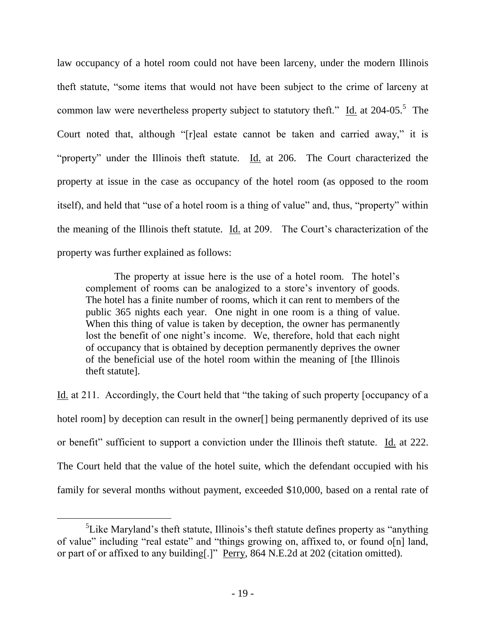law occupancy of a hotel room could not have been larceny, under the modern Illinois theft statute, "some items that would not have been subject to the crime of larceny at common law were nevertheless property subject to statutory theft." Id. at 204-05.<sup>5</sup> The Court noted that, although "[r]eal estate cannot be taken and carried away," it is "property" under the Illinois theft statute. Id. at 206. The Court characterized the property at issue in the case as occupancy of the hotel room (as opposed to the room itself), and held that "use of a hotel room is a thing of value" and, thus, "property" within the meaning of the Illinois theft statute.  $\underline{Id}$  at 209. The Court's characterization of the property was further explained as follows:

The property at issue here is the use of a hotel room. The hotel's complement of rooms can be analogized to a store"s inventory of goods. The hotel has a finite number of rooms, which it can rent to members of the public 365 nights each year. One night in one room is a thing of value. When this thing of value is taken by deception, the owner has permanently lost the benefit of one night's income. We, therefore, hold that each night of occupancy that is obtained by deception permanently deprives the owner of the beneficial use of the hotel room within the meaning of [the Illinois theft statute].

Id. at 211. Accordingly, the Court held that "the taking of such property [occupancy of a hotel room] by deception can result in the owner<sup>[]</sup> being permanently deprived of its use or benefit" sufficient to support a conviction under the Illinois theft statute. Id. at 222. The Court held that the value of the hotel suite, which the defendant occupied with his family for several months without payment, exceeded \$10,000, based on a rental rate of

 ${}^{5}$ Like Maryland's theft statute, Illinois's theft statute defines property as "anything" of value" including "real estate" and "things growing on, affixed to, or found o[n] land, or part of or affixed to any building[.]" Perry, 864 N.E.2d at 202 (citation omitted).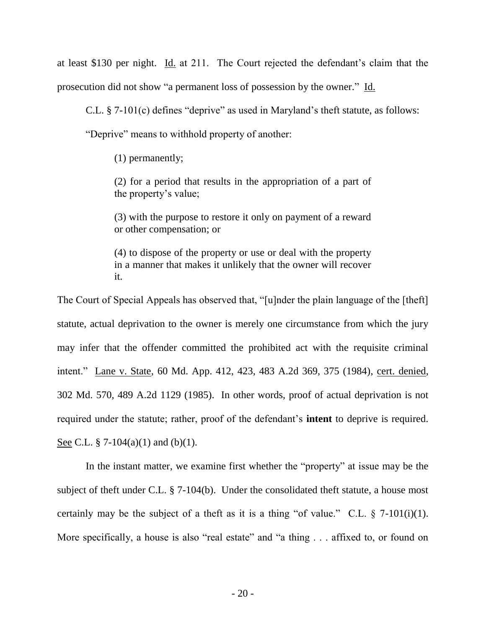at least \$130 per night. Id. at 211. The Court rejected the defendant"s claim that the prosecution did not show "a permanent loss of possession by the owner." Id.

C.L. § 7-101(c) defines "deprive" as used in Maryland"s theft statute, as follows:

"Deprive" means to withhold property of another:

(1) permanently;

(2) for a period that results in the appropriation of a part of the property"s value;

(3) with the purpose to restore it only on payment of a reward or other compensation; or

(4) to dispose of the property or use or deal with the property in a manner that makes it unlikely that the owner will recover it.

The Court of Special Appeals has observed that, "[u]nder the plain language of the [theft] statute, actual deprivation to the owner is merely one circumstance from which the jury may infer that the offender committed the prohibited act with the requisite criminal intent." Lane v. State, 60 Md. App. 412, 423, 483 A.2d 369, 375 (1984), cert. denied, 302 Md. 570, 489 A.2d 1129 (1985). In other words, proof of actual deprivation is not required under the statute; rather, proof of the defendant's **intent** to deprive is required. See C.L. § 7-104(a)(1) and (b)(1).

In the instant matter, we examine first whether the "property" at issue may be the subject of theft under C.L. § 7-104(b). Under the consolidated theft statute, a house most certainly may be the subject of a theft as it is a thing "of value." C.L.  $\S$  7-101(i)(1). More specifically, a house is also "real estate" and "a thing . . . affixed to, or found on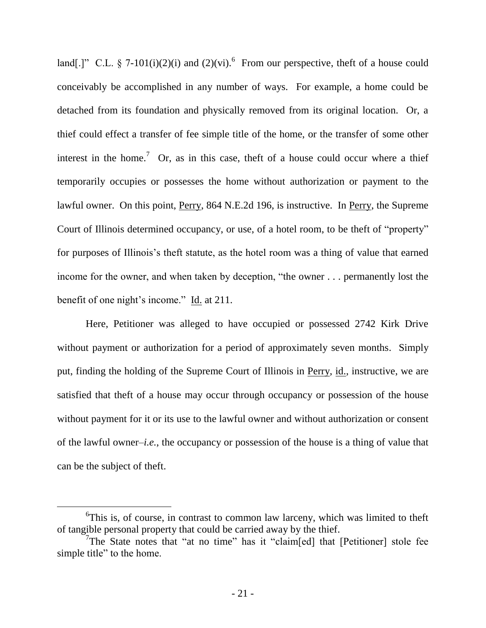land[.]" C.L. § 7-101(i)(2)(i) and (2)(vi).<sup>6</sup> From our perspective, theft of a house could conceivably be accomplished in any number of ways. For example, a home could be detached from its foundation and physically removed from its original location. Or, a thief could effect a transfer of fee simple title of the home, or the transfer of some other interest in the home.<sup>7</sup> Or, as in this case, theft of a house could occur where a thief temporarily occupies or possesses the home without authorization or payment to the lawful owner. On this point, Perry, 864 N.E.2d 196, is instructive. In Perry, the Supreme Court of Illinois determined occupancy, or use, of a hotel room, to be theft of "property" for purposes of Illinois's theft statute, as the hotel room was a thing of value that earned income for the owner, and when taken by deception, "the owner . . . permanently lost the benefit of one night's income." Id. at 211.

Here, Petitioner was alleged to have occupied or possessed 2742 Kirk Drive without payment or authorization for a period of approximately seven months. Simply put, finding the holding of the Supreme Court of Illinois in Perry, id., instructive, we are satisfied that theft of a house may occur through occupancy or possession of the house without payment for it or its use to the lawful owner and without authorization or consent of the lawful owner–*i.e.*, the occupancy or possession of the house is a thing of value that can be the subject of theft.

<sup>&</sup>lt;sup>6</sup>This is, of course, in contrast to common law larceny, which was limited to theft of tangible personal property that could be carried away by the thief.

<sup>&</sup>lt;sup>7</sup>The State notes that "at no time" has it "claim[ed] that [Petitioner] stole fee simple title" to the home.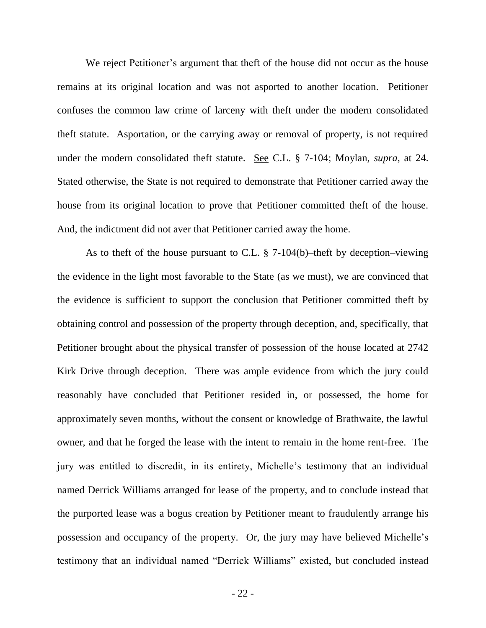We reject Petitioner's argument that theft of the house did not occur as the house remains at its original location and was not asported to another location. Petitioner confuses the common law crime of larceny with theft under the modern consolidated theft statute. Asportation, or the carrying away or removal of property, is not required under the modern consolidated theft statute. See C.L. § 7-104; Moylan, *supra*, at 24. Stated otherwise, the State is not required to demonstrate that Petitioner carried away the house from its original location to prove that Petitioner committed theft of the house. And, the indictment did not aver that Petitioner carried away the home.

As to theft of the house pursuant to C.L. § 7-104(b)–theft by deception–viewing the evidence in the light most favorable to the State (as we must), we are convinced that the evidence is sufficient to support the conclusion that Petitioner committed theft by obtaining control and possession of the property through deception, and, specifically, that Petitioner brought about the physical transfer of possession of the house located at 2742 Kirk Drive through deception. There was ample evidence from which the jury could reasonably have concluded that Petitioner resided in, or possessed, the home for approximately seven months, without the consent or knowledge of Brathwaite, the lawful owner, and that he forged the lease with the intent to remain in the home rent-free. The jury was entitled to discredit, in its entirety, Michelle"s testimony that an individual named Derrick Williams arranged for lease of the property, and to conclude instead that the purported lease was a bogus creation by Petitioner meant to fraudulently arrange his possession and occupancy of the property. Or, the jury may have believed Michelle"s testimony that an individual named "Derrick Williams" existed, but concluded instead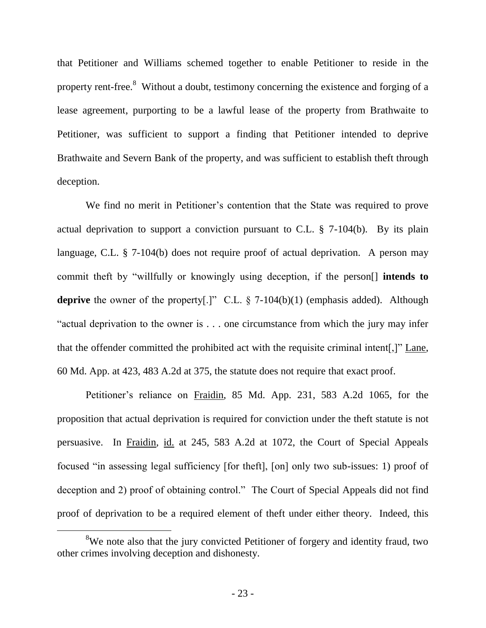that Petitioner and Williams schemed together to enable Petitioner to reside in the property rent-free.<sup>8</sup> Without a doubt, testimony concerning the existence and forging of a lease agreement, purporting to be a lawful lease of the property from Brathwaite to Petitioner, was sufficient to support a finding that Petitioner intended to deprive Brathwaite and Severn Bank of the property, and was sufficient to establish theft through deception.

We find no merit in Petitioner's contention that the State was required to prove actual deprivation to support a conviction pursuant to C.L. § 7-104(b). By its plain language, C.L. § 7-104(b) does not require proof of actual deprivation. A person may commit theft by "willfully or knowingly using deception, if the person[] **intends to**  deprive the owner of the property<sup>[.]"</sup> C.L. § 7-104(b)(1) (emphasis added). Although "actual deprivation to the owner is . . . one circumstance from which the jury may infer that the offender committed the prohibited act with the requisite criminal intent[,]" Lane, 60 Md. App. at 423, 483 A.2d at 375, the statute does not require that exact proof.

Petitioner's reliance on Fraidin, 85 Md. App. 231, 583 A.2d 1065, for the proposition that actual deprivation is required for conviction under the theft statute is not persuasive. In Fraidin, id. at 245, 583 A.2d at 1072, the Court of Special Appeals focused "in assessing legal sufficiency [for theft], [on] only two sub-issues: 1) proof of deception and 2) proof of obtaining control." The Court of Special Appeals did not find proof of deprivation to be a required element of theft under either theory. Indeed, this

<sup>&</sup>lt;sup>8</sup>We note also that the jury convicted Petitioner of forgery and identity fraud, two other crimes involving deception and dishonesty.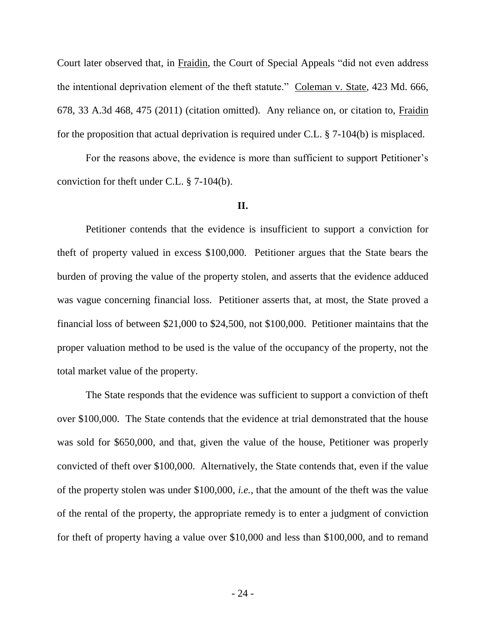Court later observed that, in Fraidin, the Court of Special Appeals "did not even address the intentional deprivation element of the theft statute." Coleman v. State, 423 Md. 666, 678, 33 A.3d 468, 475 (2011) (citation omitted). Any reliance on, or citation to, Fraidin for the proposition that actual deprivation is required under C.L. § 7-104(b) is misplaced.

For the reasons above, the evidence is more than sufficient to support Petitioner's conviction for theft under C.L. § 7-104(b).

#### **II.**

Petitioner contends that the evidence is insufficient to support a conviction for theft of property valued in excess \$100,000. Petitioner argues that the State bears the burden of proving the value of the property stolen, and asserts that the evidence adduced was vague concerning financial loss. Petitioner asserts that, at most, the State proved a financial loss of between \$21,000 to \$24,500, not \$100,000. Petitioner maintains that the proper valuation method to be used is the value of the occupancy of the property, not the total market value of the property.

The State responds that the evidence was sufficient to support a conviction of theft over \$100,000. The State contends that the evidence at trial demonstrated that the house was sold for \$650,000, and that, given the value of the house, Petitioner was properly convicted of theft over \$100,000. Alternatively, the State contends that, even if the value of the property stolen was under \$100,000, *i.e.*, that the amount of the theft was the value of the rental of the property, the appropriate remedy is to enter a judgment of conviction for theft of property having a value over \$10,000 and less than \$100,000, and to remand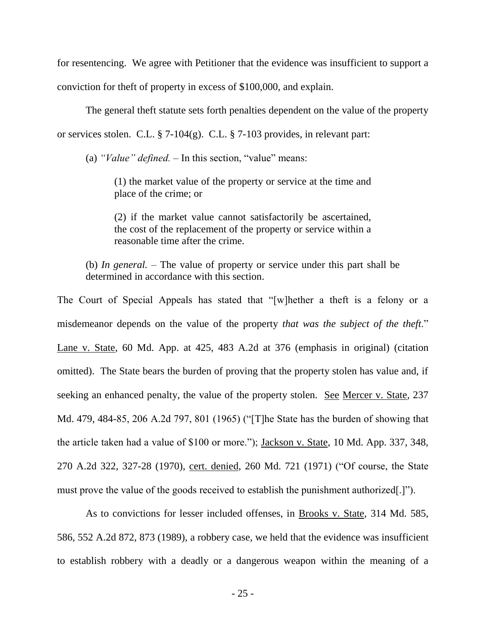for resentencing. We agree with Petitioner that the evidence was insufficient to support a conviction for theft of property in excess of \$100,000, and explain.

The general theft statute sets forth penalties dependent on the value of the property or services stolen. C.L. § 7-104(g). C.L. § 7-103 provides, in relevant part:

(a) *"Value" defined.* – In this section, "value" means:

(1) the market value of the property or service at the time and place of the crime; or

(2) if the market value cannot satisfactorily be ascertained, the cost of the replacement of the property or service within a reasonable time after the crime.

(b) *In general.* – The value of property or service under this part shall be determined in accordance with this section.

The Court of Special Appeals has stated that "[w]hether a theft is a felony or a misdemeanor depends on the value of the property *that was the subject of the theft*." Lane v. State, 60 Md. App. at 425, 483 A.2d at 376 (emphasis in original) (citation omitted). The State bears the burden of proving that the property stolen has value and, if seeking an enhanced penalty, the value of the property stolen. See Mercer v. State, 237 Md. 479, 484-85, 206 A.2d 797, 801 (1965) ("[T]he State has the burden of showing that the article taken had a value of \$100 or more."); Jackson v. State, 10 Md. App. 337, 348, 270 A.2d 322, 327-28 (1970), cert. denied, 260 Md. 721 (1971) ("Of course, the State must prove the value of the goods received to establish the punishment authorized[.]").

As to convictions for lesser included offenses, in Brooks v. State, 314 Md. 585, 586, 552 A.2d 872, 873 (1989), a robbery case, we held that the evidence was insufficient to establish robbery with a deadly or a dangerous weapon within the meaning of a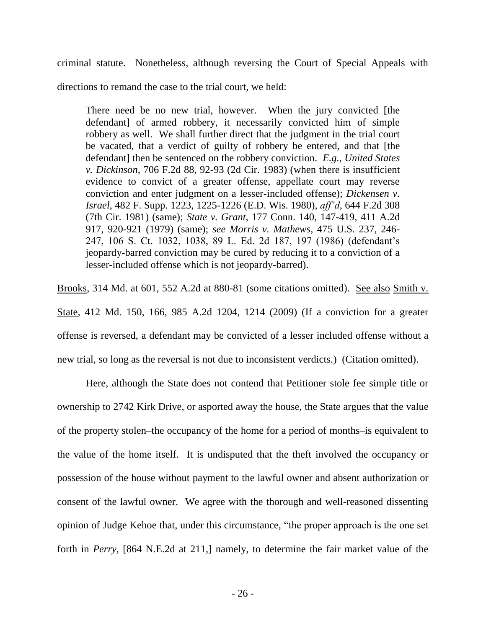criminal statute. Nonetheless, although reversing the Court of Special Appeals with

directions to remand the case to the trial court, we held:

There need be no new trial, however. When the jury convicted [the defendant] of armed robbery, it necessarily convicted him of simple robbery as well. We shall further direct that the judgment in the trial court be vacated, that a verdict of guilty of robbery be entered, and that [the defendant] then be sentenced on the robbery conviction. *E.g.*, *United States v. Dickinson*, 706 F.2d 88, 92-93 (2d Cir. 1983) (when there is insufficient evidence to convict of a greater offense, appellate court may reverse conviction and enter judgment on a lesser-included offense); *Dickensen v. Israel*, 482 F. Supp. 1223, 1225-1226 (E.D. Wis. 1980), *aff'd*, 644 F.2d 308 (7th Cir. 1981) (same); *State v. Grant*, 177 Conn. 140, 147-419, 411 A.2d 917, 920-921 (1979) (same); *see Morris v. Mathews*, 475 U.S. 237, 246- 247, 106 S. Ct. 1032, 1038, 89 L. Ed. 2d 187, 197 (1986) (defendant"s jeopardy-barred conviction may be cured by reducing it to a conviction of a lesser-included offense which is not jeopardy-barred).

Brooks, 314 Md. at 601, 552 A.2d at 880-81 (some citations omitted). See also Smith v. State, 412 Md. 150, 166, 985 A.2d 1204, 1214 (2009) (If a conviction for a greater offense is reversed, a defendant may be convicted of a lesser included offense without a new trial, so long as the reversal is not due to inconsistent verdicts.) (Citation omitted).

Here, although the State does not contend that Petitioner stole fee simple title or ownership to 2742 Kirk Drive, or asported away the house, the State argues that the value of the property stolen–the occupancy of the home for a period of months–is equivalent to the value of the home itself. It is undisputed that the theft involved the occupancy or possession of the house without payment to the lawful owner and absent authorization or consent of the lawful owner. We agree with the thorough and well-reasoned dissenting opinion of Judge Kehoe that, under this circumstance, "the proper approach is the one set forth in *Perry*, [864 N.E.2d at 211,] namely, to determine the fair market value of the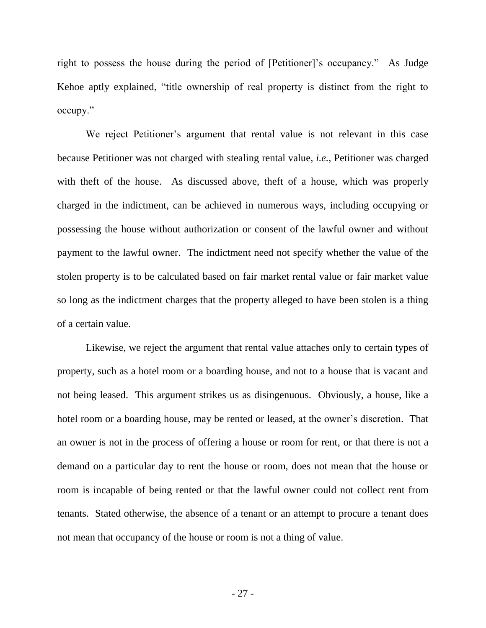right to possess the house during the period of [Petitioner]'s occupancy." As Judge Kehoe aptly explained, "title ownership of real property is distinct from the right to occupy."

We reject Petitioner's argument that rental value is not relevant in this case because Petitioner was not charged with stealing rental value, *i.e.*, Petitioner was charged with theft of the house. As discussed above, theft of a house, which was properly charged in the indictment, can be achieved in numerous ways, including occupying or possessing the house without authorization or consent of the lawful owner and without payment to the lawful owner. The indictment need not specify whether the value of the stolen property is to be calculated based on fair market rental value or fair market value so long as the indictment charges that the property alleged to have been stolen is a thing of a certain value.

Likewise, we reject the argument that rental value attaches only to certain types of property, such as a hotel room or a boarding house, and not to a house that is vacant and not being leased. This argument strikes us as disingenuous. Obviously, a house, like a hotel room or a boarding house, may be rented or leased, at the owner's discretion. That an owner is not in the process of offering a house or room for rent, or that there is not a demand on a particular day to rent the house or room, does not mean that the house or room is incapable of being rented or that the lawful owner could not collect rent from tenants. Stated otherwise, the absence of a tenant or an attempt to procure a tenant does not mean that occupancy of the house or room is not a thing of value.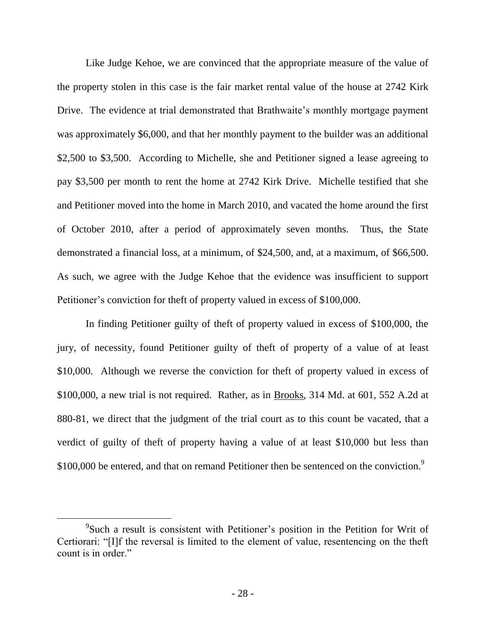Like Judge Kehoe, we are convinced that the appropriate measure of the value of the property stolen in this case is the fair market rental value of the house at 2742 Kirk Drive. The evidence at trial demonstrated that Brathwaite's monthly mortgage payment was approximately \$6,000, and that her monthly payment to the builder was an additional \$2,500 to \$3,500. According to Michelle, she and Petitioner signed a lease agreeing to pay \$3,500 per month to rent the home at 2742 Kirk Drive. Michelle testified that she and Petitioner moved into the home in March 2010, and vacated the home around the first of October 2010, after a period of approximately seven months. Thus, the State demonstrated a financial loss, at a minimum, of \$24,500, and, at a maximum, of \$66,500. As such, we agree with the Judge Kehoe that the evidence was insufficient to support Petitioner's conviction for theft of property valued in excess of \$100,000.

In finding Petitioner guilty of theft of property valued in excess of \$100,000, the jury, of necessity, found Petitioner guilty of theft of property of a value of at least \$10,000. Although we reverse the conviction for theft of property valued in excess of \$100,000, a new trial is not required. Rather, as in Brooks, 314 Md. at 601, 552 A.2d at 880-81, we direct that the judgment of the trial court as to this count be vacated, that a verdict of guilty of theft of property having a value of at least \$10,000 but less than \$100,000 be entered, and that on remand Petitioner then be sentenced on the conviction.<sup>9</sup>

<sup>&</sup>lt;sup>9</sup>Such a result is consistent with Petitioner's position in the Petition for Writ of Certiorari: "[I]f the reversal is limited to the element of value, resentencing on the theft count is in order."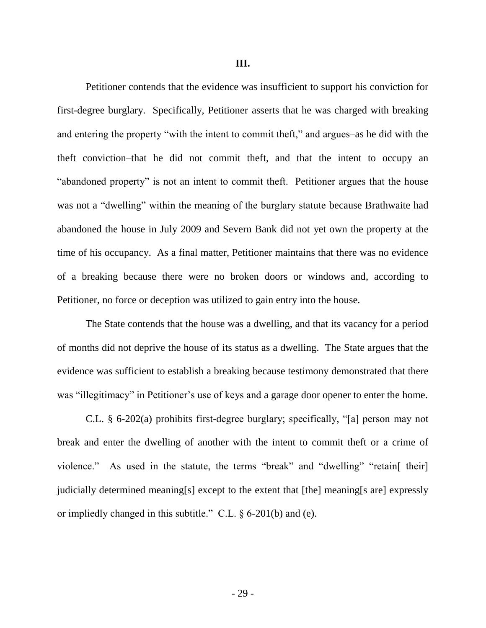Petitioner contends that the evidence was insufficient to support his conviction for first-degree burglary. Specifically, Petitioner asserts that he was charged with breaking and entering the property "with the intent to commit theft," and argues–as he did with the theft conviction–that he did not commit theft, and that the intent to occupy an "abandoned property" is not an intent to commit theft. Petitioner argues that the house was not a "dwelling" within the meaning of the burglary statute because Brathwaite had abandoned the house in July 2009 and Severn Bank did not yet own the property at the time of his occupancy. As a final matter, Petitioner maintains that there was no evidence of a breaking because there were no broken doors or windows and, according to Petitioner, no force or deception was utilized to gain entry into the house.

The State contends that the house was a dwelling, and that its vacancy for a period of months did not deprive the house of its status as a dwelling. The State argues that the evidence was sufficient to establish a breaking because testimony demonstrated that there was "illegitimacy" in Petitioner's use of keys and a garage door opener to enter the home.

C.L. § 6-202(a) prohibits first-degree burglary; specifically, "[a] person may not break and enter the dwelling of another with the intent to commit theft or a crime of violence." As used in the statute, the terms "break" and "dwelling" "retain [their] judicially determined meaning[s] except to the extent that [the] meaning[s are] expressly or impliedly changed in this subtitle." C.L. § 6-201(b) and (e).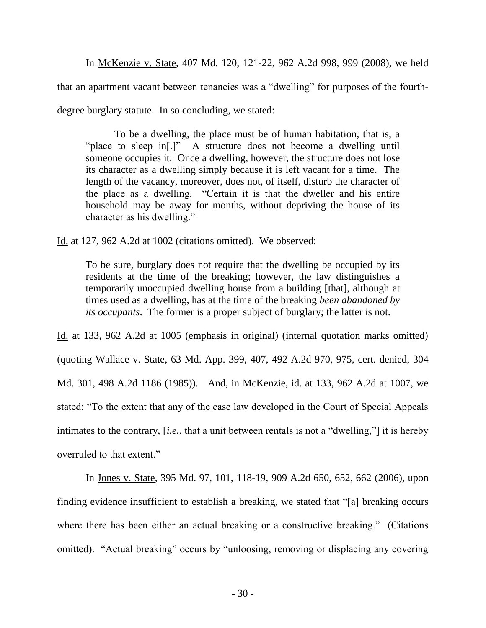In McKenzie v. State, 407 Md. 120, 121-22, 962 A.2d 998, 999 (2008), we held that an apartment vacant between tenancies was a "dwelling" for purposes of the fourthdegree burglary statute. In so concluding, we stated:

To be a dwelling, the place must be of human habitation, that is, a "place to sleep in[.]" A structure does not become a dwelling until someone occupies it. Once a dwelling, however, the structure does not lose its character as a dwelling simply because it is left vacant for a time. The length of the vacancy, moreover, does not, of itself, disturb the character of the place as a dwelling. "Certain it is that the dweller and his entire household may be away for months, without depriving the house of its character as his dwelling."

Id. at 127, 962 A.2d at 1002 (citations omitted). We observed:

To be sure, burglary does not require that the dwelling be occupied by its residents at the time of the breaking; however, the law distinguishes a temporarily unoccupied dwelling house from a building [that], although at times used as a dwelling, has at the time of the breaking *been abandoned by its occupants*. The former is a proper subject of burglary; the latter is not.

Id. at 133, 962 A.2d at 1005 (emphasis in original) (internal quotation marks omitted) (quoting Wallace v. State, 63 Md. App. 399, 407, 492 A.2d 970, 975, cert. denied, 304 Md. 301, 498 A.2d 1186 (1985)). And, in McKenzie, id. at 133, 962 A.2d at 1007, we stated: "To the extent that any of the case law developed in the Court of Special Appeals intimates to the contrary, [*i.e.*, that a unit between rentals is not a "dwelling,"] it is hereby overruled to that extent."

In Jones v. State, 395 Md. 97, 101, 118-19, 909 A.2d 650, 652, 662 (2006), upon finding evidence insufficient to establish a breaking, we stated that "[a] breaking occurs where there has been either an actual breaking or a constructive breaking." (Citations omitted). "Actual breaking" occurs by "unloosing, removing or displacing any covering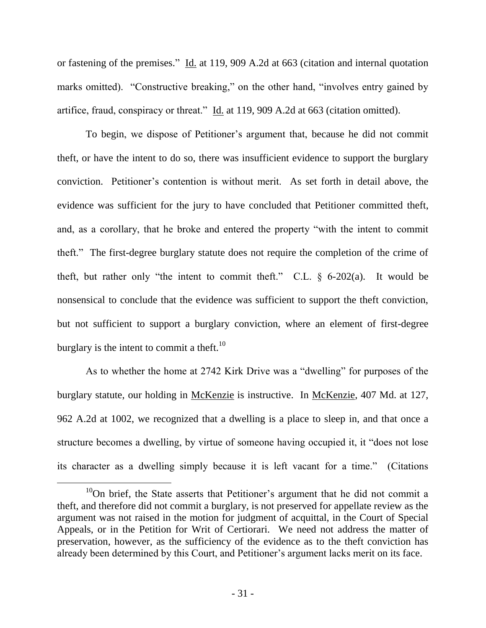or fastening of the premises." Id. at 119, 909 A.2d at 663 (citation and internal quotation marks omitted). "Constructive breaking," on the other hand, "involves entry gained by artifice, fraud, conspiracy or threat." Id. at 119, 909 A.2d at 663 (citation omitted).

To begin, we dispose of Petitioner"s argument that, because he did not commit theft, or have the intent to do so, there was insufficient evidence to support the burglary conviction. Petitioner"s contention is without merit. As set forth in detail above, the evidence was sufficient for the jury to have concluded that Petitioner committed theft, and, as a corollary, that he broke and entered the property "with the intent to commit theft." The first-degree burglary statute does not require the completion of the crime of theft, but rather only "the intent to commit theft." C.L.  $\S$  6-202(a). It would be nonsensical to conclude that the evidence was sufficient to support the theft conviction, but not sufficient to support a burglary conviction, where an element of first-degree burglary is the intent to commit a theft.<sup>10</sup>

As to whether the home at 2742 Kirk Drive was a "dwelling" for purposes of the burglary statute, our holding in McKenzie is instructive. In McKenzie, 407 Md. at 127, 962 A.2d at 1002, we recognized that a dwelling is a place to sleep in, and that once a structure becomes a dwelling, by virtue of someone having occupied it, it "does not lose its character as a dwelling simply because it is left vacant for a time." (Citations

 $10$ On brief, the State asserts that Petitioner's argument that he did not commit a theft, and therefore did not commit a burglary, is not preserved for appellate review as the argument was not raised in the motion for judgment of acquittal, in the Court of Special Appeals, or in the Petition for Writ of Certiorari. We need not address the matter of preservation, however, as the sufficiency of the evidence as to the theft conviction has already been determined by this Court, and Petitioner"s argument lacks merit on its face.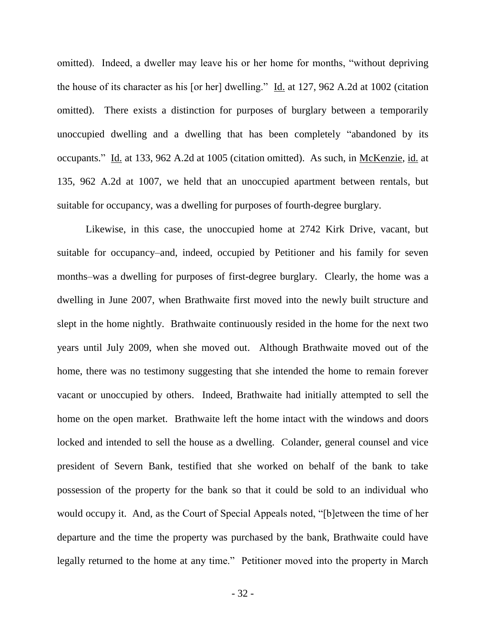omitted). Indeed, a dweller may leave his or her home for months, "without depriving the house of its character as his [or her] dwelling." Id. at 127, 962 A.2d at 1002 (citation omitted). There exists a distinction for purposes of burglary between a temporarily unoccupied dwelling and a dwelling that has been completely "abandoned by its occupants." Id. at 133, 962 A.2d at 1005 (citation omitted). As such, in McKenzie, id. at 135, 962 A.2d at 1007, we held that an unoccupied apartment between rentals, but suitable for occupancy, was a dwelling for purposes of fourth-degree burglary.

Likewise, in this case, the unoccupied home at 2742 Kirk Drive, vacant, but suitable for occupancy–and, indeed, occupied by Petitioner and his family for seven months–was a dwelling for purposes of first-degree burglary. Clearly, the home was a dwelling in June 2007, when Brathwaite first moved into the newly built structure and slept in the home nightly. Brathwaite continuously resided in the home for the next two years until July 2009, when she moved out. Although Brathwaite moved out of the home, there was no testimony suggesting that she intended the home to remain forever vacant or unoccupied by others. Indeed, Brathwaite had initially attempted to sell the home on the open market. Brathwaite left the home intact with the windows and doors locked and intended to sell the house as a dwelling. Colander, general counsel and vice president of Severn Bank, testified that she worked on behalf of the bank to take possession of the property for the bank so that it could be sold to an individual who would occupy it. And, as the Court of Special Appeals noted, "[b]etween the time of her departure and the time the property was purchased by the bank, Brathwaite could have legally returned to the home at any time." Petitioner moved into the property in March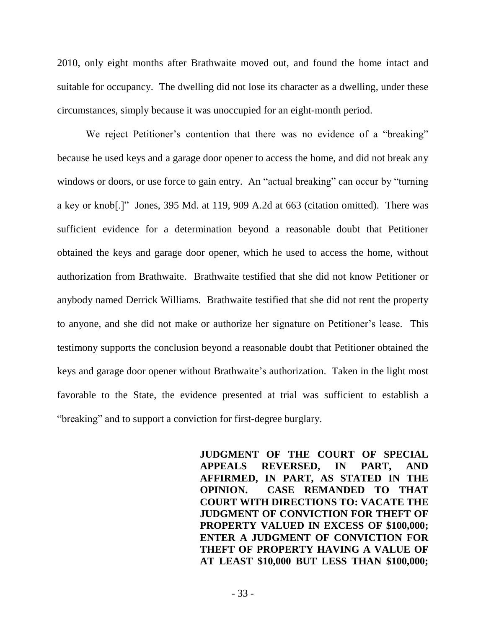2010, only eight months after Brathwaite moved out, and found the home intact and suitable for occupancy. The dwelling did not lose its character as a dwelling, under these circumstances, simply because it was unoccupied for an eight-month period.

We reject Petitioner's contention that there was no evidence of a "breaking" because he used keys and a garage door opener to access the home, and did not break any windows or doors, or use force to gain entry. An "actual breaking" can occur by "turning a key or knob[.]" Jones, 395 Md. at 119, 909 A.2d at 663 (citation omitted). There was sufficient evidence for a determination beyond a reasonable doubt that Petitioner obtained the keys and garage door opener, which he used to access the home, without authorization from Brathwaite. Brathwaite testified that she did not know Petitioner or anybody named Derrick Williams. Brathwaite testified that she did not rent the property to anyone, and she did not make or authorize her signature on Petitioner"s lease. This testimony supports the conclusion beyond a reasonable doubt that Petitioner obtained the keys and garage door opener without Brathwaite"s authorization. Taken in the light most favorable to the State, the evidence presented at trial was sufficient to establish a "breaking" and to support a conviction for first-degree burglary.

> **JUDGMENT OF THE COURT OF SPECIAL APPEALS REVERSED, IN PART, AND AFFIRMED, IN PART, AS STATED IN THE OPINION. CASE REMANDED TO THAT COURT WITH DIRECTIONS TO: VACATE THE JUDGMENT OF CONVICTION FOR THEFT OF PROPERTY VALUED IN EXCESS OF \$100,000; ENTER A JUDGMENT OF CONVICTION FOR THEFT OF PROPERTY HAVING A VALUE OF AT LEAST \$10,000 BUT LESS THAN \$100,000;**